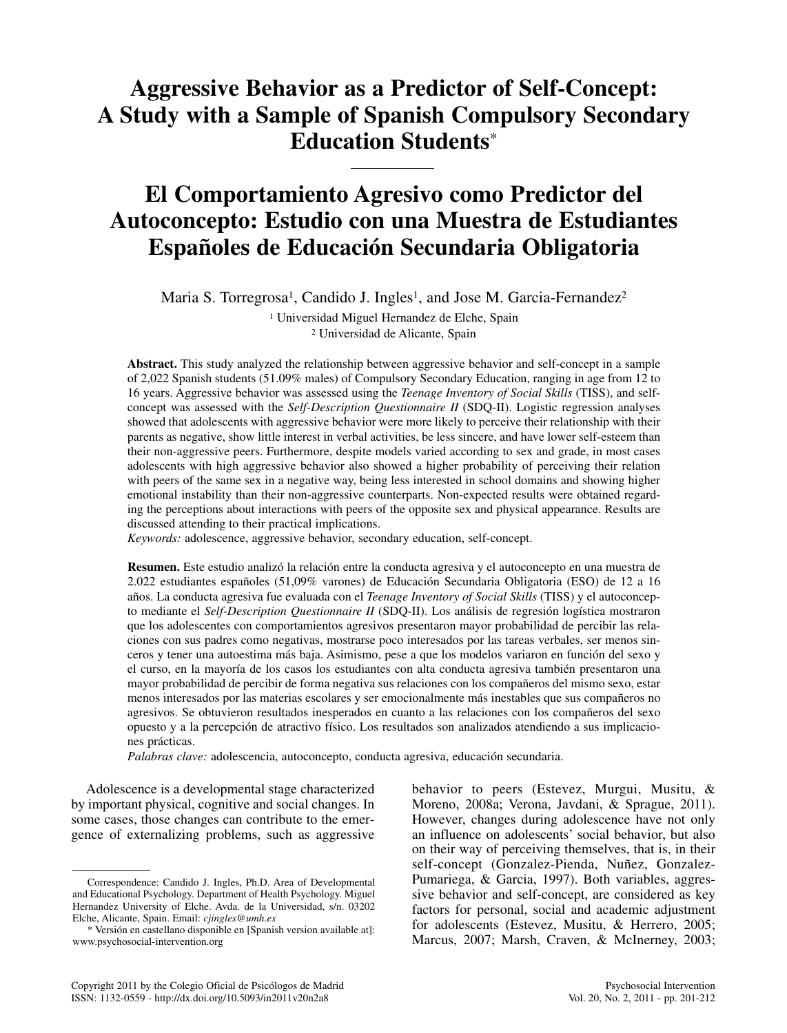# **Aggressive Behavior as a Predictor of Self-Concept: A Study with a Sample of Spanish Compulsory Secondary Education Students**\*

# **El Comportamiento Agresivo como Predictor del Autoconcepto: Estudio con una Muestra de Estudiantes Españoles de Educación Secundaria Obligatoria**

Maria S. Torregrosa<sup>1</sup>, Candido J. Ingles<sup>1</sup>, and Jose M. Garcia-Fernandez<sup>2</sup>

<sup>1</sup> Universidad Miguel Hernandez de Elche, Spain <sup>2</sup> Universidad de Alicante, Spain

**Abstract.** This study analyzed the relationship between aggressive behavior and self-concept in a sample of 2,022 Spanish students (51.09% males) of Compulsory Secondary Education, ranging in age from 12 to 16 years. Aggressive behavior was assessed using the *Teenage Inventory of Social Skills* (TISS), and selfconcept was assessed with the *Self-Description Questionnaire II* (SDQ-II). Logistic regression analyses showed that adolescents with aggressive behavior were more likely to perceive their relationship with their parents as negative, show little interest in verbal activities, be less sincere, and have lower self-esteem than their non-aggressive peers. Furthermore, despite models varied according to sex and grade, in most cases adolescents with high aggressive behavior also showed a higher probability of perceiving their relation with peers of the same sex in a negative way, being less interested in school domains and showing higher emotional instability than their non-aggressive counterparts. Non-expected results were obtained regarding the perceptions about interactions with peers of the opposite sex and physical appearance. Results are discussed attending to their practical implications.

*Keywords:* adolescence, aggressive behavior, secondary education, self-concept.

**Resumen.** Este estudio analizó la relación entre la conducta agresiva y el autoconcepto en una muestra de 2.022 estudiantes españoles (51,09% varones) de Educación Secundaria Obligatoria (ESO) de 12 a 16 años. La conducta agresiva fue evaluada con el *Teenage Inventory of Social Skills* (TISS) y el autoconcepto mediante el *Self-Description Questionnaire II* (SDQ-II). Los análisis de regresión logística mostraron que los adolescentes con comportamientos agresivos presentaron mayor probabilidad de percibir las relaciones con sus padres como negativas, mostrarse poco interesados por las tareas verbales, ser menos sinceros y tener una autoestima más baja. Asimismo, pese a que los modelos variaron en función del sexo y el curso, en la mayoría de los casos los estudiantes con alta conducta agresiva también presentaron una mayor probabilidad de percibir de forma negativa sus relaciones con los compañeros del mismo sexo, estar menos interesados por las materias escolares y ser emocionalmente más inestables que sus compañeros no agresivos. Se obtuvieron resultados inesperados en cuanto a las relaciones con los compañeros del sexo opuesto y a la percepción de atractivo físico. Los resultados son analizados atendiendo a sus implicaciones prácticas.

*Palabras clave:* adolescencia, autoconcepto, conducta agresiva, educación secundaria.

Adolescence is a developmental stage characterized by important physical, cognitive and social changes. In some cases, those changes can contribute to the emergence of externalizing problems, such as aggressive

behavior to peers (Estevez, Murgui, Musitu, & Moreno, 2008a; Verona, Javdani, & Sprague, 2011). However, changes during adolescence have not only an influence on adolescents' social behavior, but also on their way of perceiving themselves, that is, in their self-concept (Gonzalez-Pienda, Nuñez, Gonzalez-Pumariega, & Garcia, 1997). Both variables, aggressive behavior and self-concept, are considered as key factors for personal, social and academic adjustment for adolescents (Estevez, Musitu, & Herrero, 2005; Marcus, 2007; Marsh, Craven, & McInerney, 2003;

Correspondence: Candido J. Ingles, Ph.D. Area of Developmental and Educational Psychology. Department of Health Psychology. Miguel Hernandez University of Elche. Avda. de la Universidad, s/n. 03202 Elche, Alicante, Spain. Email: *cjingles@umh.es*

<sup>\*</sup> Versión en castellano disponible en [Spanish version available at]: www.psychosocial-intervention.org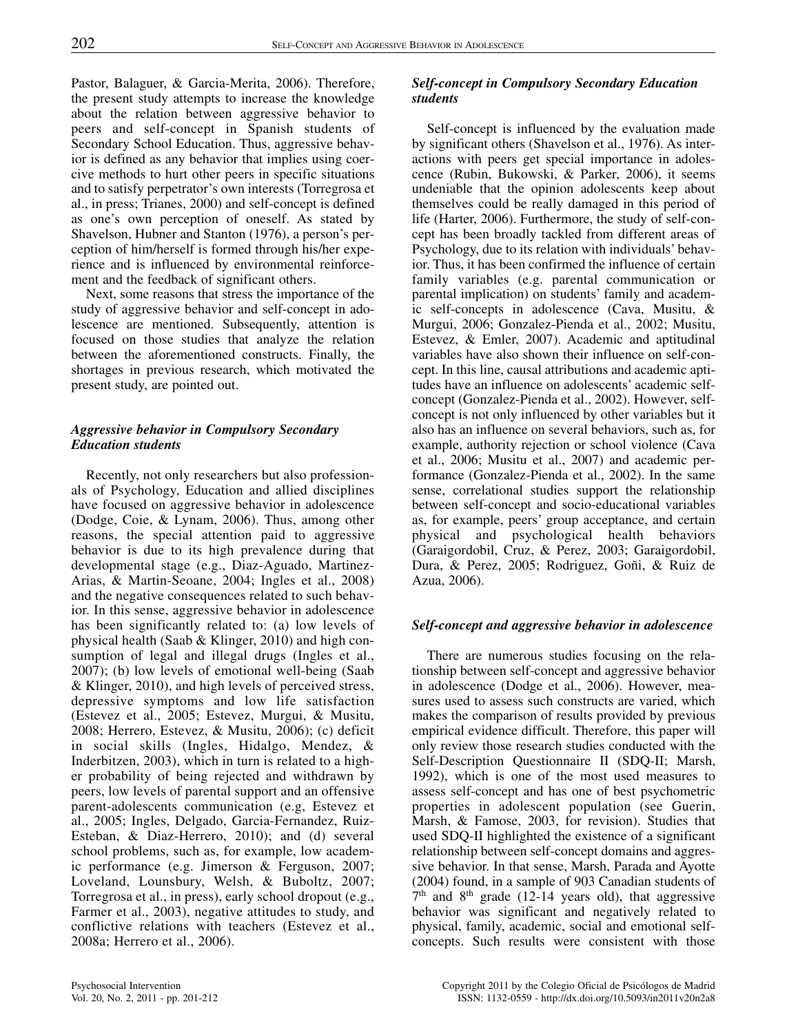Pastor, Balaguer, & Garcia-Merita, 2006). Therefore, the present study attempts to increase the knowledge about the relation between aggressive behavior to peers and self-concept in Spanish students of Secondary School Education. Thus, aggressive behavior is defined as any behavior that implies using coercive methods to hurt other peers in specific situations and to satisfy perpetrator's own interests (Torregrosa et al., in press; Trianes, 2000) and self-concept is defined as one's own perception of oneself. As stated by Shavelson, Hubner and Stanton (1976), a person's perception of him/herself is formed through his/her experience and is influenced by environmental reinforcement and the feedback of significant others.

Next, some reasons that stress the importance of the study of aggressive behavior and self-concept in adolescence are mentioned. Subsequently, attention is focused on those studies that analyze the relation between the aforementioned constructs. Finally, the shortages in previous research, which motivated the present study, are pointed out.

# *Aggressive behavior in Compulsory Secondary Education students*

Recently, not only researchers but also professionals of Psychology, Education and allied disciplines have focused on aggressive behavior in adolescence (Dodge, Coie, & Lynam, 2006). Thus, among other reasons, the special attention paid to aggressive behavior is due to its high prevalence during that developmental stage (e.g., Diaz-Aguado, Martinez-Arias, & Martin-Seoane, 2004; Ingles et al., 2008) and the negative consequences related to such behavior. In this sense, aggressive behavior in adolescence has been significantly related to: (a) low levels of physical health (Saab & Klinger, 2010) and high consumption of legal and illegal drugs (Ingles et al., 2007); (b) low levels of emotional well-being (Saab & Klinger, 2010), and high levels of perceived stress, depressive symptoms and low life satisfaction (Estevez et al., 2005; Estevez, Murgui, & Musitu, 2008; Herrero, Estevez, & Musitu, 2006); (c) deficit in social skills (Ingles, Hidalgo, Mendez, & Inderbitzen, 2003), which in turn is related to a higher probability of being rejected and withdrawn by peers, low levels of parental support and an offensive parent-adolescents communication (e.g, Estevez et al., 2005; Ingles, Delgado, Garcia-Fernandez, Ruiz-Esteban, & Diaz-Herrero, 2010); and (d) several school problems, such as, for example, low academic performance (e.g. Jimerson & Ferguson, 2007; Loveland, Lounsbury, Welsh, & Buboltz, 2007; Torregrosa et al., in press), early school dropout (e.g., Farmer et al., 2003), negative attitudes to study, and conflictive relations with teachers (Estevez et al., 2008a; Herrero et al., 2006).

# *Self-concept in Compulsory Secondary Education students*

Self-concept is influenced by the evaluation made by significant others (Shavelson et al., 1976). As interactions with peers get special importance in adolescence (Rubin, Bukowski, & Parker, 2006), it seems undeniable that the opinion adolescents keep about themselves could be really damaged in this period of life (Harter, 2006). Furthermore, the study of self-concept has been broadly tackled from different areas of Psychology, due to its relation with individuals' behavior. Thus, it has been confirmed the influence of certain family variables (e.g. parental communication or parental implication) on students' family and academic self-concepts in adolescence (Cava, Musitu, & Murgui, 2006; Gonzalez-Pienda et al., 2002; Musitu, Estevez, & Emler, 2007). Academic and aptitudinal variables have also shown their influence on self-concept. In this line, causal attributions and academic aptitudes have an influence on adolescents' academic selfconcept (Gonzalez-Pienda et al., 2002). However, selfconcept is not only influenced by other variables but it also has an influence on several behaviors, such as, for example, authority rejection or school violence (Cava et al., 2006; Musitu et al., 2007) and academic performance (Gonzalez-Pienda et al., 2002). In the same sense, correlational studies support the relationship between self-concept and socio-educational variables as, for example, peers' group acceptance, and certain physical and psychological health behaviors (Garaigordobil, Cruz, & Perez, 2003; Garaigordobil, Dura, & Perez, 2005; Rodriguez, Goñi, & Ruiz de Azua, 2006).

# *Self-concept and aggressive behavior in adolescence*

There are numerous studies focusing on the relationship between self-concept and aggressive behavior in adolescence (Dodge et al., 2006). However, measures used to assess such constructs are varied, which makes the comparison of results provided by previous empirical evidence difficult. Therefore, this paper will only review those research studies conducted with the Self-Description Questionnaire II (SDQ-II; Marsh, 1992), which is one of the most used measures to assess self-concept and has one of best psychometric properties in adolescent population (see Guerin, Marsh, & Famose, 2003, for revision). Studies that used SDQ-II highlighted the existence of a significant relationship between self-concept domains and aggressive behavior. In that sense, Marsh, Parada and Ayotte (2004) found, in a sample of 903 Canadian students of  $7<sup>th</sup>$  and  $8<sup>th</sup>$  grade (12-14 years old), that aggressive behavior was significant and negatively related to physical, family, academic, social and emotional selfconcepts. Such results were consistent with those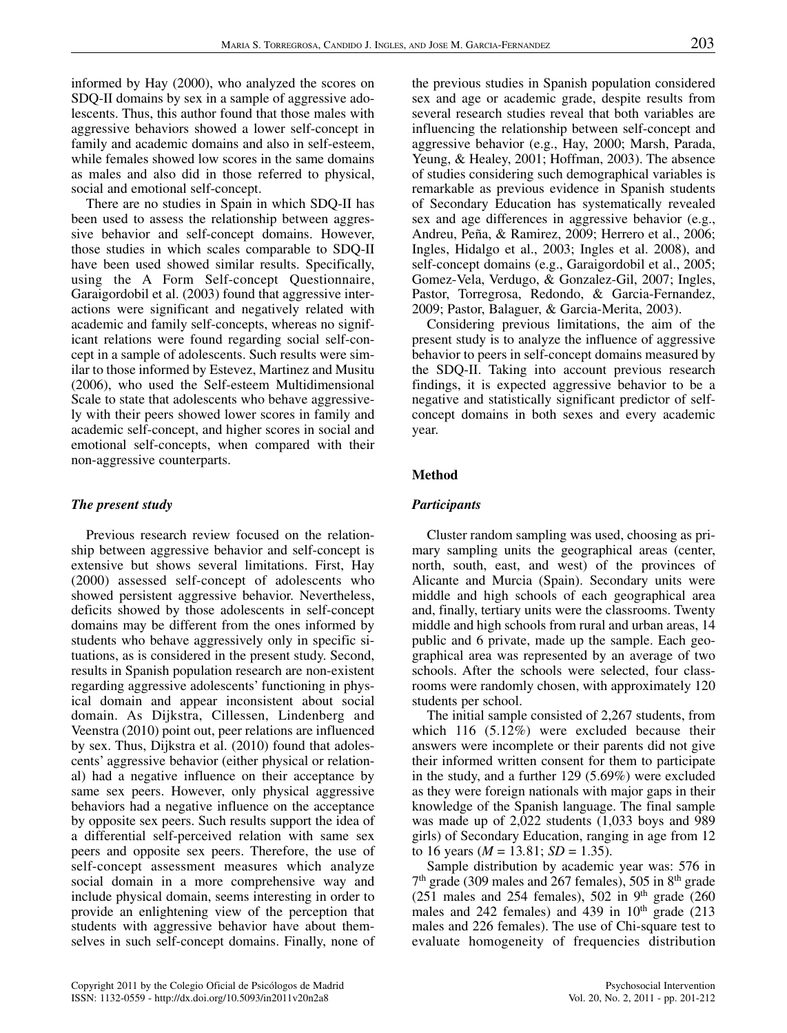informed by Hay (2000), who analyzed the scores on SDQ-II domains by sex in a sample of aggressive adolescents. Thus, this author found that those males with aggressive behaviors showed a lower self-concept in family and academic domains and also in self-esteem, while females showed low scores in the same domains as males and also did in those referred to physical, social and emotional self-concept.

There are no studies in Spain in which SDQ-II has been used to assess the relationship between aggressive behavior and self-concept domains. However, those studies in which scales comparable to SDQ-II have been used showed similar results. Specifically, using the A Form Self-concept Questionnaire, Garaigordobil et al. (2003) found that aggressive interactions were significant and negatively related with academic and family self-concepts, whereas no significant relations were found regarding social self-concept in a sample of adolescents. Such results were similar to those informed by Estevez, Martinez and Musitu (2006), who used the Self-esteem Multidimensional Scale to state that adolescents who behave aggressively with their peers showed lower scores in family and academic self-concept, and higher scores in social and emotional self-concepts, when compared with their non-aggressive counterparts.

## *The present study*

Previous research review focused on the relationship between aggressive behavior and self-concept is extensive but shows several limitations. First, Hay (2000) assessed self-concept of adolescents who showed persistent aggressive behavior. Nevertheless, deficits showed by those adolescents in self-concept domains may be different from the ones informed by students who behave aggressively only in specific situations, as is considered in the present study. Second, results in Spanish population research are non-existent regarding aggressive adolescents' functioning in physical domain and appear inconsistent about social domain. As Dijkstra, Cillessen, Lindenberg and Veenstra (2010) point out, peer relations are influenced by sex. Thus, Dijkstra et al. (2010) found that adolescents' aggressive behavior (either physical or relational) had a negative influence on their acceptance by same sex peers. However, only physical aggressive behaviors had a negative influence on the acceptance by opposite sex peers. Such results support the idea of a differential self-perceived relation with same sex peers and opposite sex peers. Therefore, the use of self-concept assessment measures which analyze social domain in a more comprehensive way and include physical domain, seems interesting in order to provide an enlightening view of the perception that students with aggressive behavior have about themselves in such self-concept domains. Finally, none of the previous studies in Spanish population considered sex and age or academic grade, despite results from several research studies reveal that both variables are influencing the relationship between self-concept and aggressive behavior (e.g., Hay, 2000; Marsh, Parada, Yeung, & Healey, 2001; Hoffman, 2003). The absence of studies considering such demographical variables is remarkable as previous evidence in Spanish students of Secondary Education has systematically revealed sex and age differences in aggressive behavior (e.g., Andreu, Peña, & Ramirez, 2009; Herrero et al., 2006; Ingles, Hidalgo et al., 2003; Ingles et al. 2008), and self-concept domains (e.g., Garaigordobil et al., 2005; Gomez-Vela, Verdugo, & Gonzalez-Gil, 2007; Ingles, Pastor, Torregrosa, Redondo, & Garcia-Fernandez, 2009; Pastor, Balaguer, & Garcia-Merita, 2003).

Considering previous limitations, the aim of the present study is to analyze the influence of aggressive behavior to peers in self-concept domains measured by the SDQ-II. Taking into account previous research findings, it is expected aggressive behavior to be a negative and statistically significant predictor of selfconcept domains in both sexes and every academic year.

## **Method**

#### *Participants*

Cluster random sampling was used, choosing as primary sampling units the geographical areas (center, north, south, east, and west) of the provinces of Alicante and Murcia (Spain). Secondary units were middle and high schools of each geographical area and, finally, tertiary units were the classrooms. Twenty middle and high schools from rural and urban areas, 14 public and 6 private, made up the sample. Each geographical area was represented by an average of two schools. After the schools were selected, four classrooms were randomly chosen, with approximately 120 students per school.

The initial sample consisted of 2,267 students, from which 116 (5.12%) were excluded because their answers were incomplete or their parents did not give their informed written consent for them to participate in the study, and a further 129 (5.69%) were excluded as they were foreign nationals with major gaps in their knowledge of the Spanish language. The final sample was made up of 2,022 students (1,033 boys and 989 girls) of Secondary Education, ranging in age from 12 to 16 years ( $M = 13.81$ ;  $SD = 1.35$ ).

Sample distribution by academic year was: 576 in  $7<sup>th</sup>$  grade (309 males and 267 females), 505 in  $8<sup>th</sup>$  grade (251 males and 254 females), 502 in 9<sup>th</sup> grade (260 males and 242 females) and 439 in  $10<sup>th</sup>$  grade (213 males and 226 females). The use of Chi-square test to evaluate homogeneity of frequencies distribution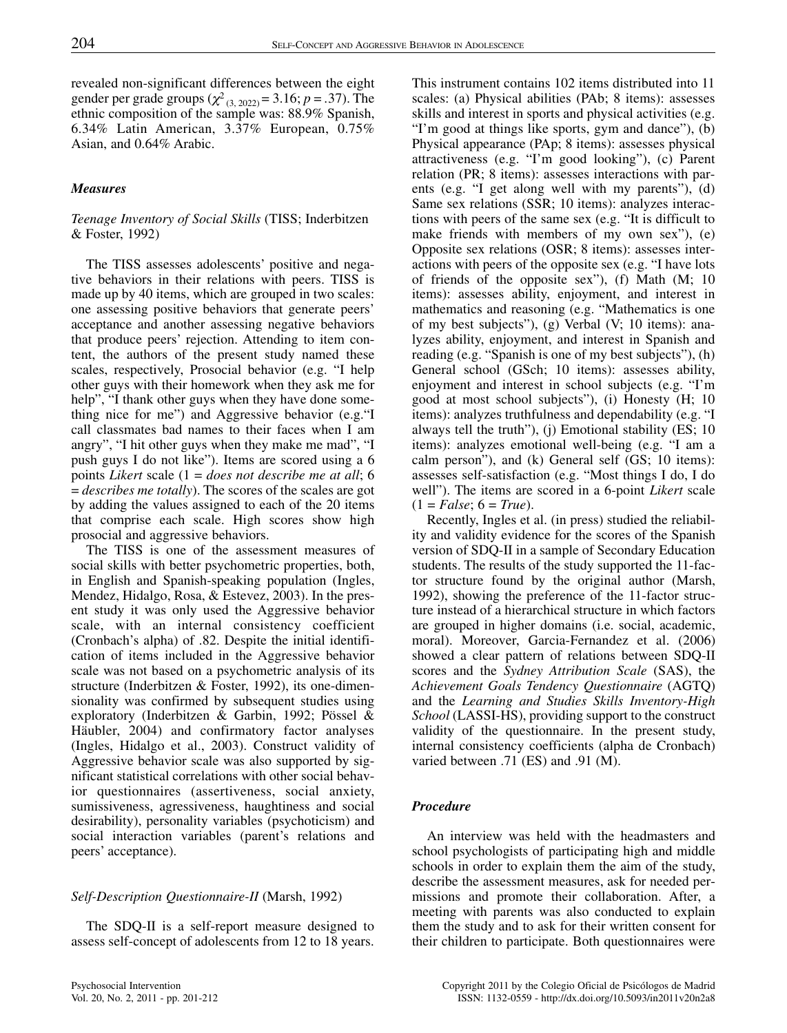revealed non-significant differences between the eight gender per grade groups ( $\chi^2_{(3, 2022)} = 3.16$ ; *p* = .37). The ethnic composition of the sample was: 88.9% Spanish, 6.34% Latin American, 3.37% European, 0.75% Asian, and 0.64% Arabic.

## *Measures*

#### *Teenage Inventory of Social Skills* (TISS; Inderbitzen & Foster, 1992)

The TISS assesses adolescents' positive and negative behaviors in their relations with peers. TISS is made up by 40 items, which are grouped in two scales: one assessing positive behaviors that generate peers' acceptance and another assessing negative behaviors that produce peers' rejection. Attending to item content, the authors of the present study named these scales, respectively, Prosocial behavior (e.g. "I help other guys with their homework when they ask me for help", "I thank other guys when they have done something nice for me") and Aggressive behavior (e.g."I call classmates bad names to their faces when I am angry", "I hit other guys when they make me mad", "I push guys I do not like"). Items are scored using a 6 points *Likert* scale (1 = *does not describe me at all*; 6 = *describes me totally*). The scores of the scales are got by adding the values assigned to each of the 20 items that comprise each scale. High scores show high prosocial and aggressive behaviors.

The TISS is one of the assessment measures of social skills with better psychometric properties, both, in English and Spanish-speaking population (Ingles, Mendez, Hidalgo, Rosa, & Estevez, 2003). In the present study it was only used the Aggressive behavior scale, with an internal consistency coefficient (Cronbach's alpha) of .82. Despite the initial identification of items included in the Aggressive behavior scale was not based on a psychometric analysis of its structure (Inderbitzen & Foster, 1992), its one-dimensionality was confirmed by subsequent studies using exploratory (Inderbitzen & Garbin, 1992; Pössel & Häubler, 2004) and confirmatory factor analyses (Ingles, Hidalgo et al., 2003). Construct validity of Aggressive behavior scale was also supported by significant statistical correlations with other social behavior questionnaires (assertiveness, social anxiety, sumissiveness, agressiveness, haughtiness and social desirability), personality variables (psychoticism) and social interaction variables (parent's relations and peers' acceptance).

#### *Self-Description Questionnaire-II* (Marsh, 1992)

The SDQ-II is a self-report measure designed to assess self-concept of adolescents from 12 to 18 years. This instrument contains 102 items distributed into 11 scales: (a) Physical abilities (PAb; 8 items): assesses skills and interest in sports and physical activities (e.g. "I'm good at things like sports, gym and dance"), (b) Physical appearance (PAp; 8 items): assesses physical attractiveness (e.g. "I'm good looking"), (c) Parent relation (PR; 8 items): assesses interactions with parents (e.g. "I get along well with my parents"), (d) Same sex relations (SSR; 10 items): analyzes interactions with peers of the same sex (e.g. "It is difficult to make friends with members of my own sex"), (e) Opposite sex relations (OSR; 8 items): assesses interactions with peers of the opposite sex (e.g. "I have lots of friends of the opposite sex"), (f) Math (M; 10 items): assesses ability, enjoyment, and interest in mathematics and reasoning (e.g. "Mathematics is one of my best subjects"), (g) Verbal (V; 10 items): analyzes ability, enjoyment, and interest in Spanish and reading (e.g. "Spanish is one of my best subjects"), (h) General school (GSch; 10 items): assesses ability, enjoyment and interest in school subjects (e.g. "I'm good at most school subjects"), (i) Honesty (H; 10 items): analyzes truthfulness and dependability (e.g. "I always tell the truth"), (j) Emotional stability (ES; 10 items): analyzes emotional well-being (e.g. "I am a calm person"), and (k) General self (GS; 10 items): assesses self-satisfaction (e.g. "Most things I do, I do well"). The items are scored in a 6-point *Likert* scale  $(1 = False; 6 = True).$ 

Recently, Ingles et al. (in press) studied the reliability and validity evidence for the scores of the Spanish version of SDQ-II in a sample of Secondary Education students. The results of the study supported the 11-factor structure found by the original author (Marsh, 1992), showing the preference of the 11-factor structure instead of a hierarchical structure in which factors are grouped in higher domains (i.e. social, academic, moral). Moreover, Garcia-Fernandez et al. (2006) showed a clear pattern of relations between SDQ-II scores and the *Sydney Attribution Scale* (SAS), the *Achievement Goals Tendency Questionnaire* (AGTQ) and the *Learning and Studies Skills Inventory-High School* (LASSI-HS), providing support to the construct validity of the questionnaire. In the present study, internal consistency coefficients (alpha de Cronbach) varied between .71 (ES) and .91 (M).

#### *Procedure*

An interview was held with the headmasters and school psychologists of participating high and middle schools in order to explain them the aim of the study, describe the assessment measures, ask for needed permissions and promote their collaboration. After, a meeting with parents was also conducted to explain them the study and to ask for their written consent for their children to participate. Both questionnaires were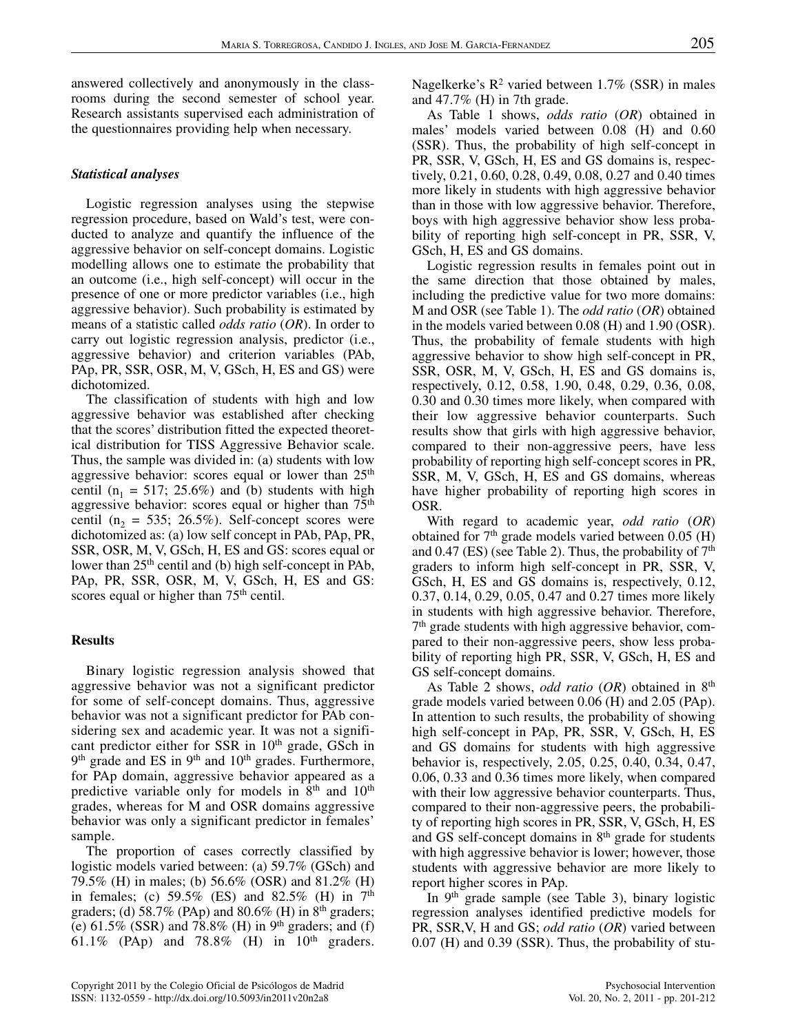answered collectively and anonymously in the classrooms during the second semester of school year. Research assistants supervised each administration of the questionnaires providing help when necessary.

## *Statistical analyses*

Logistic regression analyses using the stepwise regression procedure, based on Wald's test, were conducted to analyze and quantify the influence of the aggressive behavior on self-concept domains. Logistic modelling allows one to estimate the probability that an outcome (i.e., high self-concept) will occur in the presence of one or more predictor variables (i.e., high aggressive behavior). Such probability is estimated by means of a statistic called *odds ratio* (*OR*). In order to carry out logistic regression analysis, predictor (i.e., aggressive behavior) and criterion variables (PAb, PAp, PR, SSR, OSR, M, V, GSch, H, ES and GS) were dichotomized.

The classification of students with high and low aggressive behavior was established after checking that the scores' distribution fitted the expected theoretical distribution for TISS Aggressive Behavior scale. Thus, the sample was divided in: (a) students with low aggressive behavior: scores equal or lower than  $25<sup>th</sup>$ centil ( $n_1 = 517$ ; 25.6%) and (b) students with high aggressive behavior: scores equal or higher than  $75<sup>th</sup>$ centil ( $n_2$  = 535; 26.5%). Self-concept scores were dichotomized as: (a) low self concept in PAb, PAp, PR, SSR, OSR, M, V, GSch, H, ES and GS: scores equal or lower than 25<sup>th</sup> centil and (b) high self-concept in PAb, PAp, PR, SSR, OSR, M, V, GSch, H, ES and GS: scores equal or higher than 75<sup>th</sup> centil.

#### **Results**

Binary logistic regression analysis showed that aggressive behavior was not a significant predictor for some of self-concept domains. Thus, aggressive behavior was not a significant predictor for PAb considering sex and academic year. It was not a significant predictor either for SSR in 10<sup>th</sup> grade, GSch in  $9<sup>th</sup>$  grade and ES in  $9<sup>th</sup>$  and  $10<sup>th</sup>$  grades. Furthermore, for PAp domain, aggressive behavior appeared as a predictive variable only for models in  $8<sup>th</sup>$  and  $10<sup>th</sup>$ grades, whereas for M and OSR domains aggressive behavior was only a significant predictor in females' sample.

The proportion of cases correctly classified by logistic models varied between: (a) 59.7% (GSch) and 79.5% (H) in males; (b) 56.6% (OSR) and 81.2% (H) in females; (c)  $59.5\%$  (ES) and  $82.5\%$  (H) in  $7<sup>th</sup>$ graders; (d) 58.7% (PAp) and 80.6% (H) in  $8<sup>th</sup>$  graders; (e)  $61.5\%$  (SSR) and 78.8% (H) in 9<sup>th</sup> graders; and (f) 61.1% (PAp) and 78.8% (H) in  $10<sup>th</sup>$  graders.

As Table 1 shows, *odds ratio* (*OR*) obtained in males' models varied between 0.08 (H) and 0.60 (SSR). Thus, the probability of high self-concept in PR, SSR, V, GSch, H, ES and GS domains is, respectively, 0.21, 0.60, 0.28, 0.49, 0.08, 0.27 and 0.40 times more likely in students with high aggressive behavior than in those with low aggressive behavior. Therefore, boys with high aggressive behavior show less probability of reporting high self-concept in PR, SSR, V, GSch, H, ES and GS domains.

Logistic regression results in females point out in the same direction that those obtained by males, including the predictive value for two more domains: M and OSR (see Table 1). The *odd ratio* (*OR*) obtained in the models varied between 0.08 (H) and 1.90 (OSR). Thus, the probability of female students with high aggressive behavior to show high self-concept in PR, SSR, OSR, M, V, GSch, H, ES and GS domains is, respectively, 0.12, 0.58, 1.90, 0.48, 0.29, 0.36, 0.08, 0.30 and 0.30 times more likely, when compared with their low aggressive behavior counterparts. Such results show that girls with high aggressive behavior, compared to their non-aggressive peers, have less probability of reporting high self-concept scores in PR, SSR, M, V, GSch, H, ES and GS domains, whereas have higher probability of reporting high scores in OSR.

With regard to academic year, *odd ratio* (*OR*) obtained for  $7<sup>th</sup>$  grade models varied between 0.05 (H) and 0.47 (ES) (see Table 2). Thus, the probability of  $7<sup>th</sup>$ graders to inform high self-concept in PR, SSR, V, GSch, H, ES and GS domains is, respectively, 0.12, 0.37, 0.14, 0.29, 0.05, 0.47 and 0.27 times more likely in students with high aggressive behavior. Therefore, 7th grade students with high aggressive behavior, compared to their non-aggressive peers, show less probability of reporting high PR, SSR, V, GSch, H, ES and GS self-concept domains.

As Table 2 shows, *odd ratio* (*OR*) obtained in 8th grade models varied between 0.06 (H) and 2.05 (PAp). In attention to such results, the probability of showing high self-concept in PAp, PR, SSR, V, GSch, H, ES and GS domains for students with high aggressive behavior is, respectively, 2.05, 0.25, 0.40, 0.34, 0.47, 0.06, 0.33 and 0.36 times more likely, when compared with their low aggressive behavior counterparts. Thus, compared to their non-aggressive peers, the probability of reporting high scores in PR, SSR, V, GSch, H, ES and GS self-concept domains in 8<sup>th</sup> grade for students with high aggressive behavior is lower; however, those students with aggressive behavior are more likely to report higher scores in PAp.

In  $9<sup>th</sup>$  grade sample (see Table 3), binary logistic regression analyses identified predictive models for PR, SSR,V, H and GS; *odd ratio* (*OR*) varied between 0.07 (H) and 0.39 (SSR). Thus, the probability of stu-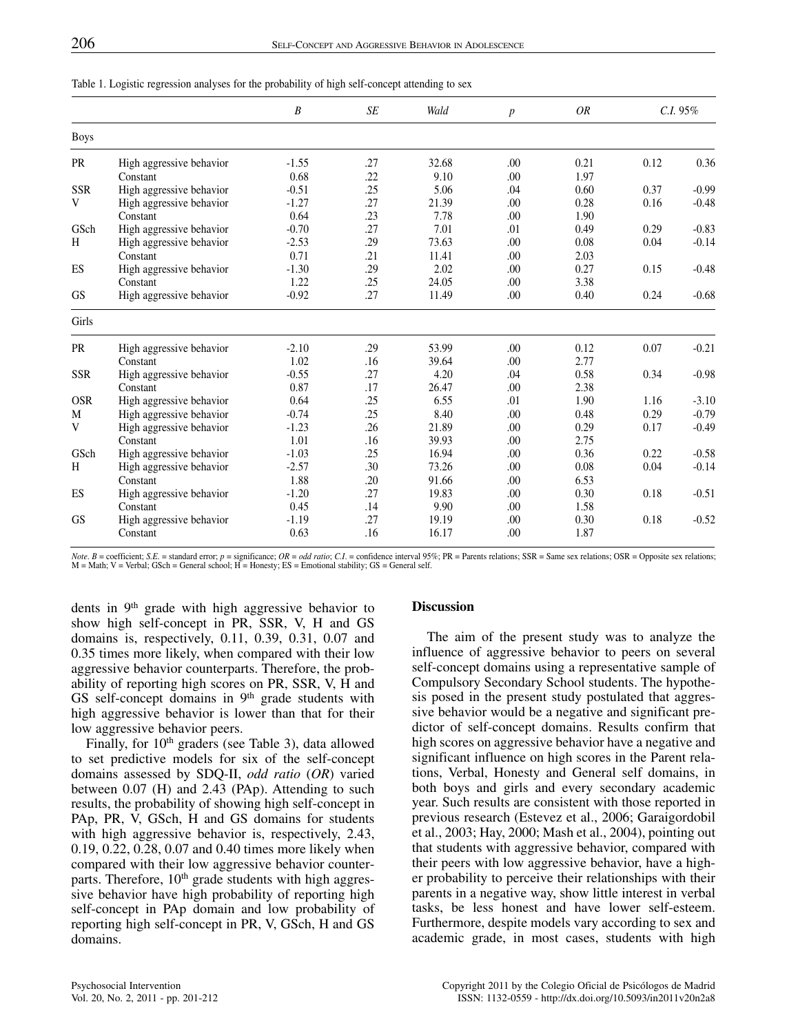|             |                          | B       | <b>SE</b> | Wald  | $\boldsymbol{p}$ | <b>OR</b> |      | $C.I. 95\%$ |  |
|-------------|--------------------------|---------|-----------|-------|------------------|-----------|------|-------------|--|
| <b>Boys</b> |                          |         |           |       |                  |           |      |             |  |
| <b>PR</b>   | High aggressive behavior | $-1.55$ | .27       | 32.68 | .00              | 0.21      | 0.12 | 0.36        |  |
|             | Constant                 | 0.68    | .22       | 9.10  | .00              | 1.97      |      |             |  |
| <b>SSR</b>  | High aggressive behavior | $-0.51$ | .25       | 5.06  | .04              | 0.60      | 0.37 | $-0.99$     |  |
| V           | High aggressive behavior | $-1.27$ | .27       | 21.39 | .00              | 0.28      | 0.16 | $-0.48$     |  |
|             | Constant                 | 0.64    | .23       | 7.78  | .00              | 1.90      |      |             |  |
| GSch        | High aggressive behavior | $-0.70$ | .27       | 7.01  | .01              | 0.49      | 0.29 | $-0.83$     |  |
| H           | High aggressive behavior | $-2.53$ | .29       | 73.63 | .00              | 0.08      | 0.04 | $-0.14$     |  |
|             | Constant                 | 0.71    | .21       | 11.41 | .00              | 2.03      |      |             |  |
| ES          | High aggressive behavior | $-1.30$ | .29       | 2.02  | .00              | 0.27      | 0.15 | $-0.48$     |  |
|             | Constant                 | 1.22    | .25       | 24.05 | .00              | 3.38      |      |             |  |
| <b>GS</b>   | High aggressive behavior | $-0.92$ | .27       | 11.49 | .00              | 0.40      | 0.24 | $-0.68$     |  |
| Girls       |                          |         |           |       |                  |           |      |             |  |
| <b>PR</b>   | High aggressive behavior | $-2.10$ | .29       | 53.99 | .00              | 0.12      | 0.07 | $-0.21$     |  |
|             | Constant                 | 1.02    | .16       | 39.64 | .00              | 2.77      |      |             |  |
| <b>SSR</b>  | High aggressive behavior | $-0.55$ | .27       | 4.20  | .04              | 0.58      | 0.34 | $-0.98$     |  |
|             | Constant                 | 0.87    | .17       | 26.47 | .00              | 2.38      |      |             |  |
| <b>OSR</b>  | High aggressive behavior | 0.64    | .25       | 6.55  | .01              | 1.90      | 1.16 | $-3.10$     |  |
| M           | High aggressive behavior | $-0.74$ | .25       | 8.40  | .00              | 0.48      | 0.29 | $-0.79$     |  |
| V           | High aggressive behavior | $-1.23$ | .26       | 21.89 | .00              | 0.29      | 0.17 | $-0.49$     |  |
|             | Constant                 | 1.01    | .16       | 39.93 | .00              | 2.75      |      |             |  |
| GSch        | High aggressive behavior | $-1.03$ | .25       | 16.94 | .00              | 0.36      | 0.22 | $-0.58$     |  |
| H           | High aggressive behavior | $-2.57$ | .30       | 73.26 | .00              | 0.08      | 0.04 | $-0.14$     |  |
|             | Constant                 | 1.88    | .20       | 91.66 | .00              | 6.53      |      |             |  |
| ES          | High aggressive behavior | $-1.20$ | .27       | 19.83 | .00              | 0.30      | 0.18 | $-0.51$     |  |
|             | Constant                 | 0.45    | .14       | 9.90  | .00              | 1.58      |      |             |  |
| GS          | High aggressive behavior | $-1.19$ | .27       | 19.19 | .00              | 0.30      | 0.18 | $-0.52$     |  |
|             | Constant                 | 0.63    | .16       | 16.17 | .00              | 1.87      |      |             |  |

Table 1. Logistic regression analyses for the probability of high self-concept attending to sex

Note. B = coefficient; S.E. = standard error;  $p =$  significance; OR = odd ratio; C.I. = confidence interval 95%; PR = Parents relations; SSR = Same sex relations; OSR = Opposite sex relations;  $M = Math$ ;  $V = Verbal$ ; GSch = General school;  $H = Honesty$ ; ES = Emotional stability; GS = General self.

dents in 9th grade with high aggressive behavior to show high self-concept in PR, SSR, V, H and GS domains is, respectively, 0.11, 0.39, 0.31, 0.07 and 0.35 times more likely, when compared with their low aggressive behavior counterparts. Therefore, the probability of reporting high scores on PR, SSR, V, H and GS self-concept domains in 9<sup>th</sup> grade students with high aggressive behavior is lower than that for their low aggressive behavior peers.

Finally, for  $10<sup>th</sup>$  graders (see Table 3), data allowed to set predictive models for six of the self-concept domains assessed by SDQ-II, *odd ratio* (*OR*) varied between 0.07 (H) and 2.43 (PAp). Attending to such results, the probability of showing high self-concept in PAp, PR, V, GSch, H and GS domains for students with high aggressive behavior is, respectively, 2.43, 0.19, 0.22, 0.28, 0.07 and 0.40 times more likely when compared with their low aggressive behavior counterparts. Therefore,  $10<sup>th</sup>$  grade students with high aggressive behavior have high probability of reporting high self-concept in PAp domain and low probability of reporting high self-concept in PR, V, GSch, H and GS domains.

## **Discussion**

The aim of the present study was to analyze the influence of aggressive behavior to peers on several self-concept domains using a representative sample of Compulsory Secondary School students. The hypothesis posed in the present study postulated that aggressive behavior would be a negative and significant predictor of self-concept domains. Results confirm that high scores on aggressive behavior have a negative and significant influence on high scores in the Parent relations, Verbal, Honesty and General self domains, in both boys and girls and every secondary academic year. Such results are consistent with those reported in previous research (Estevez et al., 2006; Garaigordobil et al., 2003; Hay, 2000; Mash et al., 2004), pointing out that students with aggressive behavior, compared with their peers with low aggressive behavior, have a higher probability to perceive their relationships with their parents in a negative way, show little interest in verbal tasks, be less honest and have lower self-esteem. Furthermore, despite models vary according to sex and academic grade, in most cases, students with high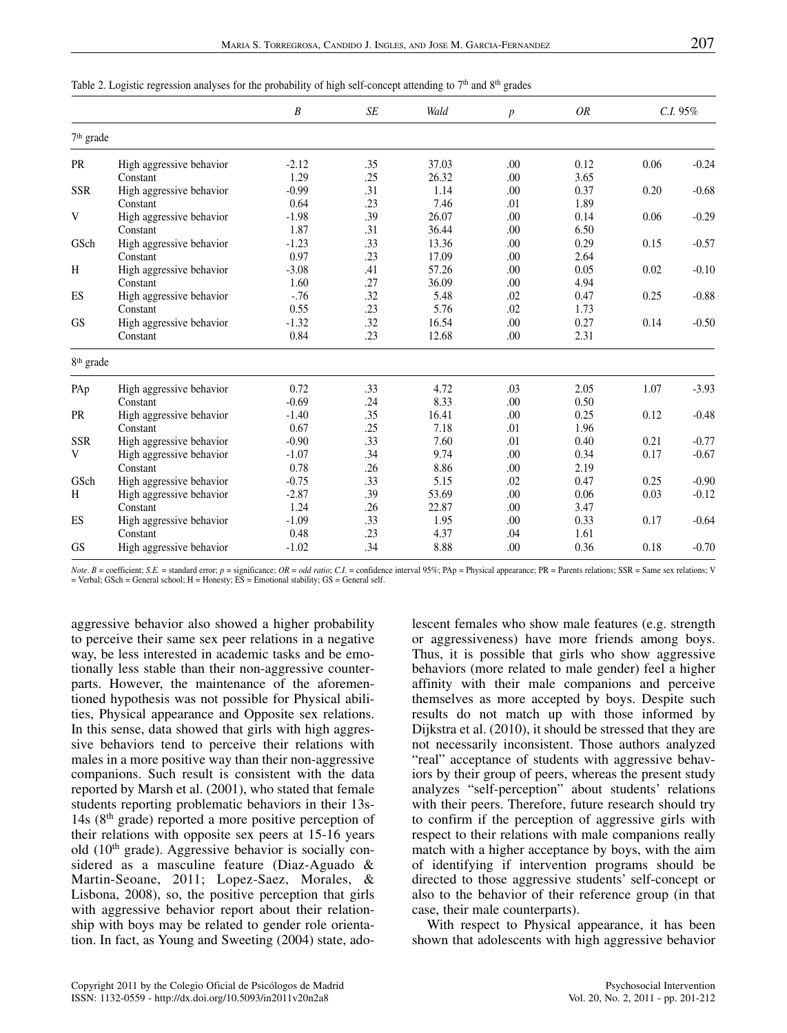|  |  |  | Table 2. Logistic regression analyses for the probability of high self-concept attending to $7th$ and $8th$ grades |  |  |
|--|--|--|--------------------------------------------------------------------------------------------------------------------|--|--|
|  |  |  |                                                                                                                    |  |  |

|                       |                          | $\boldsymbol{B}$ | SE  | Wald  | $\boldsymbol{p}$ | OR   |      | $C.I. 95\%$ |  |
|-----------------------|--------------------------|------------------|-----|-------|------------------|------|------|-------------|--|
|                       | 7 <sup>th</sup> grade    |                  |     |       |                  |      |      |             |  |
| <b>PR</b>             | High aggressive behavior | $-2.12$          | .35 | 37.03 | .00              | 0.12 | 0.06 | $-0.24$     |  |
|                       | Constant                 | 1.29             | .25 | 26.32 | .00              | 3.65 |      |             |  |
| <b>SSR</b>            | High aggressive behavior | $-0.99$          | .31 | 1.14  | .00              | 0.37 | 0.20 | $-0.68$     |  |
|                       | Constant                 | 0.64             | .23 | 7.46  | .01              | 1.89 |      |             |  |
| V                     | High aggressive behavior | $-1.98$          | .39 | 26.07 | .00              | 0.14 | 0.06 | $-0.29$     |  |
|                       | Constant                 | 1.87             | .31 | 36.44 | .00              | 6.50 |      |             |  |
| GSch                  | High aggressive behavior | $-1.23$          | .33 | 13.36 | .00              | 0.29 | 0.15 | $-0.57$     |  |
|                       | Constant                 | 0.97             | .23 | 17.09 | .00              | 2.64 |      |             |  |
| H                     | High aggressive behavior | $-3.08$          | .41 | 57.26 | .00              | 0.05 | 0.02 | $-0.10$     |  |
|                       | Constant                 | 1.60             | .27 | 36.09 | .00              | 4.94 |      |             |  |
| ES                    | High aggressive behavior | $-.76$           | .32 | 5.48  | .02              | 0.47 | 0.25 | $-0.88$     |  |
|                       | Constant                 | 0.55             | .23 | 5.76  | .02              | 1.73 |      |             |  |
| <b>GS</b>             | High aggressive behavior | $-1.32$          | .32 | 16.54 | .00              | 0.27 | 0.14 | $-0.50$     |  |
|                       | Constant                 | 0.84             | .23 | 12.68 | .00              | 2.31 |      |             |  |
| 8 <sup>th</sup> grade |                          |                  |     |       |                  |      |      |             |  |
| PAp                   | High aggressive behavior | 0.72             | .33 | 4.72  | .03              | 2.05 | 1.07 | $-3.93$     |  |
|                       | Constant                 | $-0.69$          | .24 | 8.33  | .00              | 0.50 |      |             |  |
| PR                    | High aggressive behavior | $-1.40$          | .35 | 16.41 | .00              | 0.25 | 0.12 | $-0.48$     |  |
|                       | Constant                 | 0.67             | .25 | 7.18  | .01              | 1.96 |      |             |  |
| <b>SSR</b>            | High aggressive behavior | $-0.90$          | .33 | 7.60  | .01              | 0.40 | 0.21 | $-0.77$     |  |
| V                     | High aggressive behavior | $-1.07$          | .34 | 9.74  | .00              | 0.34 | 0.17 | $-0.67$     |  |
|                       | Constant                 | 0.78             | .26 | 8.86  | .00              | 2.19 |      |             |  |
| GSch                  | High aggressive behavior | $-0.75$          | .33 | 5.15  | .02              | 0.47 | 0.25 | $-0.90$     |  |
| H                     | High aggressive behavior | $-2.87$          | .39 | 53.69 | .00              | 0.06 | 0.03 | $-0.12$     |  |
|                       | Constant                 | 1.24             | .26 | 22.87 | .00              | 3.47 |      |             |  |
| ES                    | High aggressive behavior | $-1.09$          | .33 | 1.95  | .00              | 0.33 | 0.17 | $-0.64$     |  |
|                       | Constant                 | 0.48             | .23 | 4.37  | .04              | 1.61 |      |             |  |
| <b>GS</b>             | High aggressive behavior | $-1.02$          | .34 | 8.88  | .00              | 0.36 | 0.18 | $-0.70$     |  |

*Note. B* = coefficient; S.E. = standard error; *p* = significance; OR = *odd ratio*; C.I. = confidence interval 95%; PAp = Physical appearance; PR = Parents relations; SSR = Same sex relations; V<br>= Verbal; GSch = General

aggressive behavior also showed a higher probability to perceive their same sex peer relations in a negative way, be less interested in academic tasks and be emotionally less stable than their non-aggressive counterparts. However, the maintenance of the aforementioned hypothesis was not possible for Physical abilities, Physical appearance and Opposite sex relations. In this sense, data showed that girls with high aggressive behaviors tend to perceive their relations with males in a more positive way than their non-aggressive companions. Such result is consistent with the data reported by Marsh et al. (2001), who stated that female students reporting problematic behaviors in their 13s-14s ( $8<sup>th</sup>$  grade) reported a more positive perception of their relations with opposite sex peers at 15-16 years old  $(10<sup>th</sup> \text{ grade})$ . Aggressive behavior is socially considered as a masculine feature (Diaz-Aguado & Martin-Seoane, 2011; Lopez-Saez, Morales, & Lisbona, 2008), so, the positive perception that girls with aggressive behavior report about their relationship with boys may be related to gender role orientation. In fact, as Young and Sweeting (2004) state, adolescent females who show male features (e.g. strength or aggressiveness) have more friends among boys. Thus, it is possible that girls who show aggressive behaviors (more related to male gender) feel a higher affinity with their male companions and perceive themselves as more accepted by boys. Despite such results do not match up with those informed by Dijkstra et al. (2010), it should be stressed that they are not necessarily inconsistent. Those authors analyzed "real" acceptance of students with aggressive behaviors by their group of peers, whereas the present study analyzes "self-perception" about students' relations with their peers. Therefore, future research should try to confirm if the perception of aggressive girls with respect to their relations with male companions really match with a higher acceptance by boys, with the aim of identifying if intervention programs should be directed to those aggressive students' self-concept or also to the behavior of their reference group (in that case, their male counterparts).

With respect to Physical appearance, it has been shown that adolescents with high aggressive behavior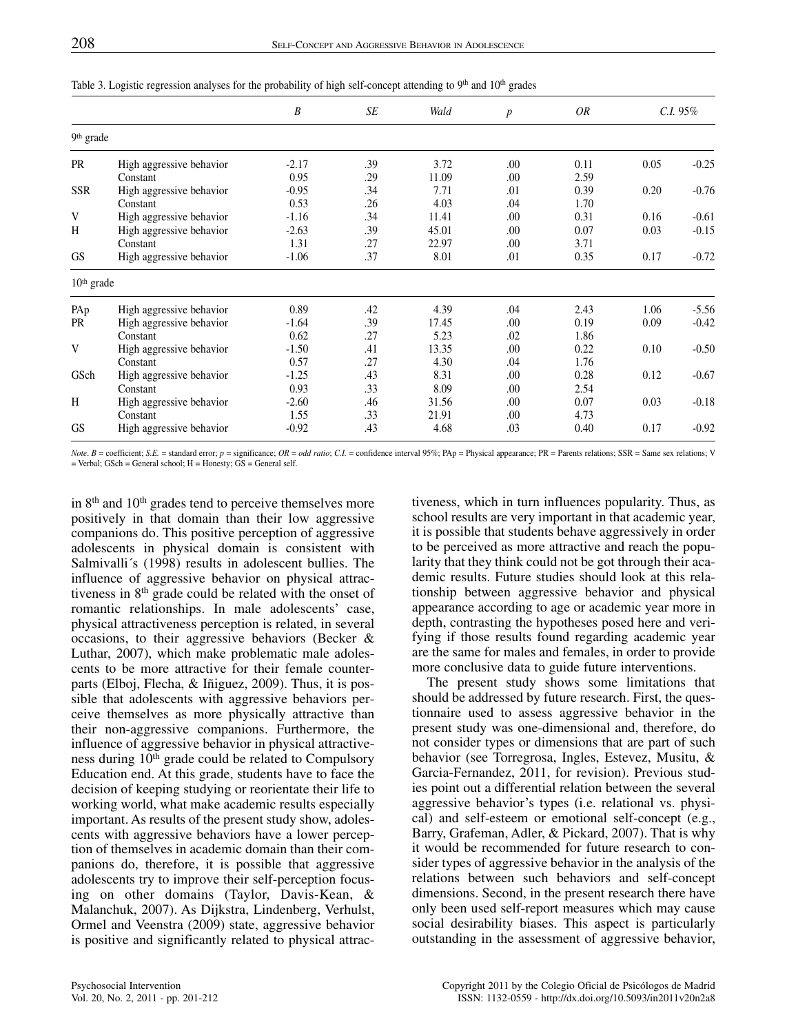|              |                          | B       | SE  | Wald  | $\boldsymbol{p}$ | OR   | $C.I. 95\%$ |         |  |  |
|--------------|--------------------------|---------|-----|-------|------------------|------|-------------|---------|--|--|
|              | 9 <sup>th</sup> grade    |         |     |       |                  |      |             |         |  |  |
| <b>PR</b>    | High aggressive behavior | $-2.17$ | .39 | 3.72  | .00              | 0.11 | 0.05        | $-0.25$ |  |  |
|              | Constant                 | 0.95    | .29 | 11.09 | .00.             | 2.59 |             |         |  |  |
| <b>SSR</b>   | High aggressive behavior | $-0.95$ | .34 | 7.71  | .01              | 0.39 | 0.20        | $-0.76$ |  |  |
|              | Constant                 | 0.53    | .26 | 4.03  | .04              | 1.70 |             |         |  |  |
| V            | High aggressive behavior | $-1.16$ | .34 | 11.41 | .00              | 0.31 | 0.16        | $-0.61$ |  |  |
| H            | High aggressive behavior | $-2.63$ | .39 | 45.01 | .00              | 0.07 | 0.03        | $-0.15$ |  |  |
|              | Constant                 | 1.31    | .27 | 22.97 | .00              | 3.71 |             |         |  |  |
| <b>GS</b>    | High aggressive behavior | $-1.06$ | .37 | 8.01  | .01              | 0.35 | 0.17        | $-0.72$ |  |  |
| $10th$ grade |                          |         |     |       |                  |      |             |         |  |  |
| PAp          | High aggressive behavior | 0.89    | .42 | 4.39  | .04              | 2.43 | 1.06        | $-5.56$ |  |  |
| PR           | High aggressive behavior | $-1.64$ | .39 | 17.45 | .00.             | 0.19 | 0.09        | $-0.42$ |  |  |
|              | Constant                 | 0.62    | .27 | 5.23  | .02              | 1.86 |             |         |  |  |
| V            | High aggressive behavior | $-1.50$ | .41 | 13.35 | .00              | 0.22 | 0.10        | $-0.50$ |  |  |
|              | Constant                 | 0.57    | .27 | 4.30  | .04              | 1.76 |             |         |  |  |
| GSch         | High aggressive behavior | $-1.25$ | .43 | 8.31  | .00              | 0.28 | 0.12        | $-0.67$ |  |  |
|              | Constant                 | 0.93    | .33 | 8.09  | .00              | 2.54 |             |         |  |  |
| H            | High aggressive behavior | $-2.60$ | .46 | 31.56 | .00              | 0.07 | 0.03        | $-0.18$ |  |  |
|              | Constant                 | 1.55    | .33 | 21.91 | .00              | 4.73 |             |         |  |  |
| <b>GS</b>    | High aggressive behavior | $-0.92$ | .43 | 4.68  | .03              | 0.40 | 0.17        | $-0.92$ |  |  |

Table 3. Logistic regression analyses for the probability of high self-concept attending to 9<sup>th</sup> and 10<sup>th</sup> grades

Note. B = coefficient; S.E. = standard error;  $p =$  significance; OR = odd ratio; C.I. = confidence interval 95%; PAp = Physical appearance; PR = Parents relations; SSR = Same sex relations; V = Verbal; GSch = General school; H = Honesty; GS = General self.

in  $8<sup>th</sup>$  and  $10<sup>th</sup>$  grades tend to perceive themselves more positively in that domain than their low aggressive companions do. This positive perception of aggressive adolescents in physical domain is consistent with Salmivalli´s (1998) results in adolescent bullies. The influence of aggressive behavior on physical attractiveness in  $8<sup>th</sup>$  grade could be related with the onset of romantic relationships. In male adolescents' case, physical attractiveness perception is related, in several occasions, to their aggressive behaviors (Becker & Luthar, 2007), which make problematic male adolescents to be more attractive for their female counterparts (Elboj, Flecha, & Iñiguez, 2009). Thus, it is possible that adolescents with aggressive behaviors perceive themselves as more physically attractive than their non-aggressive companions. Furthermore, the influence of aggressive behavior in physical attractiveness during 10<sup>th</sup> grade could be related to Compulsory Education end. At this grade, students have to face the decision of keeping studying or reorientate their life to working world, what make academic results especially important. As results of the present study show, adolescents with aggressive behaviors have a lower perception of themselves in academic domain than their companions do, therefore, it is possible that aggressive adolescents try to improve their self-perception focusing on other domains (Taylor, Davis-Kean, & Malanchuk, 2007). As Dijkstra, Lindenberg, Verhulst, Ormel and Veenstra (2009) state, aggressive behavior is positive and significantly related to physical attractiveness, which in turn influences popularity. Thus, as school results are very important in that academic year, it is possible that students behave aggressively in order to be perceived as more attractive and reach the popularity that they think could not be got through their academic results. Future studies should look at this relationship between aggressive behavior and physical appearance according to age or academic year more in depth, contrasting the hypotheses posed here and verifying if those results found regarding academic year are the same for males and females, in order to provide more conclusive data to guide future interventions.

The present study shows some limitations that should be addressed by future research. First, the questionnaire used to assess aggressive behavior in the present study was one-dimensional and, therefore, do not consider types or dimensions that are part of such behavior (see Torregrosa, Ingles, Estevez, Musitu, & Garcia-Fernandez, 2011, for revision). Previous studies point out a differential relation between the several aggressive behavior's types (i.e. relational vs. physical) and self-esteem or emotional self-concept (e.g., Barry, Grafeman, Adler, & Pickard, 2007). That is why it would be recommended for future research to consider types of aggressive behavior in the analysis of the relations between such behaviors and self-concept dimensions. Second, in the present research there have only been used self-report measures which may cause social desirability biases. This aspect is particularly outstanding in the assessment of aggressive behavior,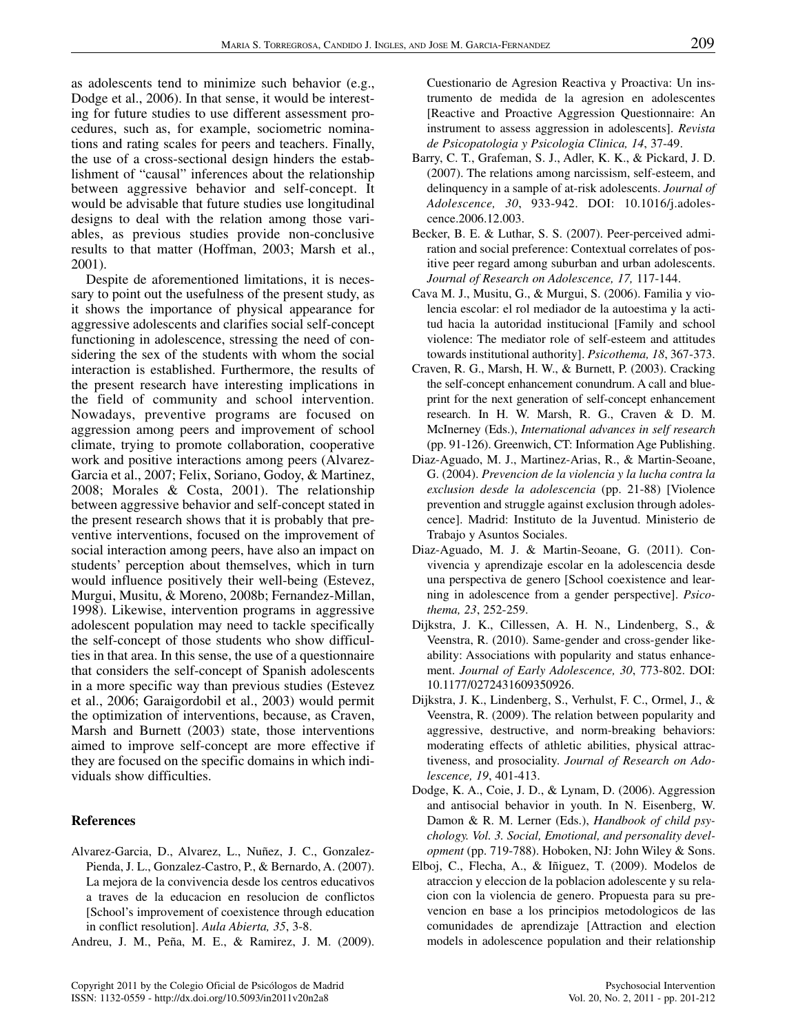as adolescents tend to minimize such behavior (e.g., Dodge et al., 2006). In that sense, it would be interesting for future studies to use different assessment procedures, such as, for example, sociometric nominations and rating scales for peers and teachers. Finally, the use of a cross-sectional design hinders the establishment of "causal" inferences about the relationship between aggressive behavior and self-concept. It would be advisable that future studies use longitudinal designs to deal with the relation among those variables, as previous studies provide non-conclusive results to that matter (Hoffman, 2003; Marsh et al., 2001).

Despite de aforementioned limitations, it is necessary to point out the usefulness of the present study, as it shows the importance of physical appearance for aggressive adolescents and clarifies social self-concept functioning in adolescence, stressing the need of considering the sex of the students with whom the social interaction is established. Furthermore, the results of the present research have interesting implications in the field of community and school intervention. Nowadays, preventive programs are focused on aggression among peers and improvement of school climate, trying to promote collaboration, cooperative work and positive interactions among peers (Alvarez-Garcia et al., 2007; Felix, Soriano, Godoy, & Martinez, 2008; Morales & Costa, 2001). The relationship between aggressive behavior and self-concept stated in the present research shows that it is probably that preventive interventions, focused on the improvement of social interaction among peers, have also an impact on students' perception about themselves, which in turn would influence positively their well-being (Estevez, Murgui, Musitu, & Moreno, 2008b; Fernandez-Millan, 1998). Likewise, intervention programs in aggressive adolescent population may need to tackle specifically the self-concept of those students who show difficulties in that area. In this sense, the use of a questionnaire that considers the self-concept of Spanish adolescents in a more specific way than previous studies (Estevez et al., 2006; Garaigordobil et al., 2003) would permit the optimization of interventions, because, as Craven, Marsh and Burnett (2003) state, those interventions aimed to improve self-concept are more effective if they are focused on the specific domains in which individuals show difficulties.

# **References**

- Alvarez-Garcia, D., Alvarez, L., Nuñez, J. C., Gonzalez-Pienda, J. L., Gonzalez-Castro, P., & Bernardo, A. (2007). La mejora de la convivencia desde los centros educativos a traves de la educacion en resolucion de conflictos [School's improvement of coexistence through education in conflict resolution]. *Aula Abierta, 35*, 3-8.
- Andreu, J. M., Peña, M. E., & Ramirez, J. M. (2009).

Cuestionario de Agresion Reactiva y Proactiva: Un instrumento de medida de la agresion en adolescentes [Reactive and Proactive Aggression Questionnaire: An instrument to assess aggression in adolescents]. *Revista de Psicopatologia y Psicologia Clinica, 14*, 37-49.

- Barry, C. T., Grafeman, S. J., Adler, K. K., & Pickard, J. D. (2007). The relations among narcissism, self-esteem, and delinquency in a sample of at-risk adolescents. *Journal of Adolescence, 30*, 933-942. DOI: 10.1016/j.adolescence.2006.12.003.
- Becker, B. E. & Luthar, S. S. (2007). Peer-perceived admiration and social preference: Contextual correlates of positive peer regard among suburban and urban adolescents. *Journal of Research on Adolescence, 17,* 117-144.
- Cava M. J., Musitu, G., & Murgui, S. (2006). Familia y violencia escolar: el rol mediador de la autoestima y la actitud hacia la autoridad institucional [Family and school violence: The mediator role of self-esteem and attitudes towards institutional authority]. *Psicothema, 18*, 367-373.
- Craven, R. G., Marsh, H. W., & Burnett, P. (2003). Cracking the self-concept enhancement conundrum. A call and blueprint for the next generation of self-concept enhancement research. In H. W. Marsh, R. G., Craven & D. M. McInerney (Eds.), *International advances in self research* (pp. 91-126). Greenwich, CT: Information Age Publishing.
- Diaz-Aguado, M. J., Martinez-Arias, R., & Martin-Seoane, G. (2004). *Prevencion de la violencia y la lucha contra la exclusion desde la adolescencia* (pp. 21-88) [Violence prevention and struggle against exclusion through adolescence]. Madrid: Instituto de la Juventud. Ministerio de Trabajo y Asuntos Sociales.
- Diaz-Aguado, M. J. & Martin-Seoane, G. (2011). Convivencia y aprendizaje escolar en la adolescencia desde una perspectiva de genero [School coexistence and learning in adolescence from a gender perspective]. *Psicothema, 23*, 252-259.
- Dijkstra, J. K., Cillessen, A. H. N., Lindenberg, S., & Veenstra, R. (2010). Same-gender and cross-gender likeability: Associations with popularity and status enhancement. *Journal of Early Adolescence, 30*, 773-802. DOI: 10.1177/0272431609350926.
- Dijkstra, J. K., Lindenberg, S., Verhulst, F. C., Ormel, J., & Veenstra, R. (2009). The relation between popularity and aggressive, destructive, and norm-breaking behaviors: moderating effects of athletic abilities, physical attractiveness, and prosociality. *Journal of Research on Adolescence, 19*, 401-413.
- Dodge, K. A., Coie, J. D., & Lynam, D. (2006). Aggression and antisocial behavior in youth. In N. Eisenberg, W. Damon & R. M. Lerner (Eds.), *Handbook of child psychology. Vol. 3. Social, Emotional, and personality development* (pp. 719-788). Hoboken, NJ: John Wiley & Sons.
- Elboj, C., Flecha, A., & Iñiguez, T. (2009). Modelos de atraccion y eleccion de la poblacion adolescente y su relacion con la violencia de genero. Propuesta para su prevencion en base a los principios metodologicos de las comunidades de aprendizaje [Attraction and election models in adolescence population and their relationship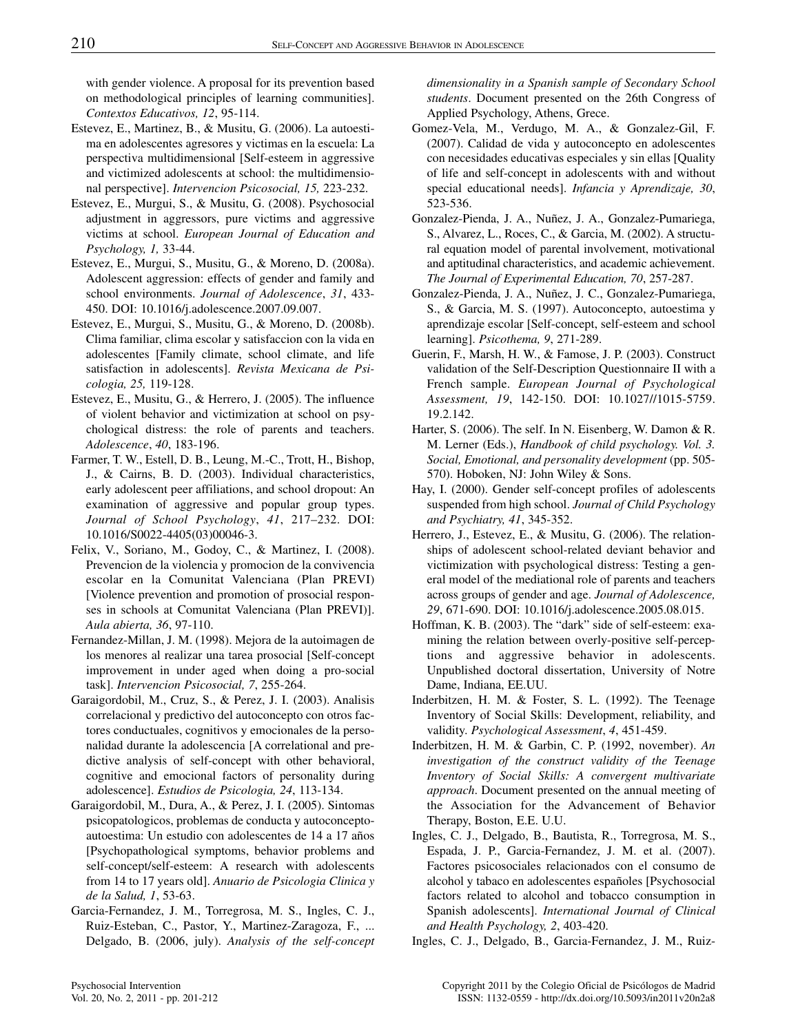with gender violence. A proposal for its prevention based on methodological principles of learning communities]. *Contextos Educativos, 12*, 95-114.

- Estevez, E., Martinez, B., & Musitu, G. (2006). La autoestima en adolescentes agresores y victimas en la escuela: La perspectiva multidimensional [Self-esteem in aggressive and victimized adolescents at school: the multidimensional perspective]. *Intervencion Psicosocial, 15,* 223-232.
- Estevez, E., Murgui, S., & Musitu, G. (2008). Psychosocial adjustment in aggressors, pure victims and aggressive victims at school. *European Journal of Education and Psychology, 1,* 33-44.
- Estevez, E., Murgui, S., Musitu, G., & Moreno, D. (2008a). Adolescent aggression: effects of gender and family and school environments. *Journal of Adolescence*, *31*, 433- 450. DOI: 10.1016/j.adolescence.2007.09.007.
- Estevez, E., Murgui, S., Musitu, G., & Moreno, D. (2008b). Clima familiar, clima escolar y satisfaccion con la vida en adolescentes [Family climate, school climate, and life satisfaction in adolescents]. *Revista Mexicana de Psicologia, 25,* 119-128.
- Estevez, E., Musitu, G., & Herrero, J. (2005). The influence of violent behavior and victimization at school on psychological distress: the role of parents and teachers. *Adolescence*, *40*, 183-196.
- Farmer, T. W., Estell, D. B., Leung, M.-C., Trott, H., Bishop, J., & Cairns, B. D. (2003). Individual characteristics, early adolescent peer affiliations, and school dropout: An examination of aggressive and popular group types. *Journal of School Psychology*, *41*, 217–232. DOI: 10.1016/S0022-4405(03)00046-3.
- Felix, V., Soriano, M., Godoy, C., & Martinez, I. (2008). Prevencion de la violencia y promocion de la convivencia escolar en la Comunitat Valenciana (Plan PREVI) [Violence prevention and promotion of prosocial responses in schools at Comunitat Valenciana (Plan PREVI)]. *Aula abierta, 36*, 97-110.
- Fernandez-Millan, J. M. (1998). Mejora de la autoimagen de los menores al realizar una tarea prosocial [Self-concept improvement in under aged when doing a pro-social task]. *Intervencion Psicosocial, 7*, 255-264.
- Garaigordobil, M., Cruz, S., & Perez, J. I. (2003). Analisis correlacional y predictivo del autoconcepto con otros factores conductuales, cognitivos y emocionales de la personalidad durante la adolescencia [A correlational and predictive analysis of self-concept with other behavioral, cognitive and emocional factors of personality during adolescence]. *Estudios de Psicologia, 24*, 113-134.
- Garaigordobil, M., Dura, A., & Perez, J. I. (2005). Sintomas psicopatologicos, problemas de conducta y autoconceptoautoestima: Un estudio con adolescentes de 14 a 17 años [Psychopathological symptoms, behavior problems and self-concept/self-esteem: A research with adolescents from 14 to 17 years old]. *Anuario de Psicologia Clinica y de la Salud, 1*, 53-63.
- Garcia-Fernandez, J. M., Torregrosa, M. S., Ingles, C. J., Ruiz-Esteban, C., Pastor, Y., Martinez-Zaragoza, F., ... Delgado, B. (2006, july). *Analysis of the self-concept*

*dimensionality in a Spanish sample of Secondary School students*. Document presented on the 26th Congress of Applied Psychology, Athens, Grece.

- Gomez-Vela, M., Verdugo, M. A., & Gonzalez-Gil, F. (2007). Calidad de vida y autoconcepto en adolescentes con necesidades educativas especiales y sin ellas [Quality of life and self-concept in adolescents with and without special educational needs]. *Infancia y Aprendizaje, 30*, 523-536.
- Gonzalez-Pienda, J. A., Nuñez, J. A., Gonzalez-Pumariega, S., Alvarez, L., Roces, C., & Garcia, M. (2002). A structural equation model of parental involvement, motivational and aptitudinal characteristics, and academic achievement. *The Journal of Experimental Education, 70*, 257-287.
- Gonzalez-Pienda, J. A., Nuñez, J. C., Gonzalez-Pumariega, S., & Garcia, M. S. (1997). Autoconcepto, autoestima y aprendizaje escolar [Self-concept, self-esteem and school learning]. *Psicothema, 9*, 271-289.
- Guerin, F., Marsh, H. W., & Famose, J. P. (2003). Construct validation of the Self-Description Questionnaire II with a French sample. *European Journal of Psychological Assessment, 19*, 142-150. DOI: 10.1027//1015-5759. 19.2.142.
- Harter, S. (2006). The self. In N. Eisenberg, W. Damon & R. M. Lerner (Eds.), *Handbook of child psychology. Vol. 3. Social, Emotional, and personality development* (pp. 505- 570). Hoboken, NJ: John Wiley & Sons.
- Hay, I. (2000). Gender self-concept profiles of adolescents suspended from high school. *Journal of Child Psychology and Psychiatry, 41*, 345-352.
- Herrero, J., Estevez, E., & Musitu, G. (2006). The relationships of adolescent school-related deviant behavior and victimization with psychological distress: Testing a general model of the mediational role of parents and teachers across groups of gender and age. *Journal of Adolescence, 29*, 671-690. DOI: 10.1016/j.adolescence.2005.08.015.
- Hoffman, K. B. (2003). The "dark" side of self-esteem: examining the relation between overly-positive self-perceptions and aggressive behavior in adolescents. Unpublished doctoral dissertation, University of Notre Dame, Indiana, EE.UU.
- Inderbitzen, H. M. & Foster, S. L. (1992). The Teenage Inventory of Social Skills: Development, reliability, and validity. *Psychological Assessment*, *4*, 451-459.
- Inderbitzen, H. M. & Garbin, C. P. (1992, november). *An investigation of the construct validity of the Teenage Inventory of Social Skills: A convergent multivariate approach*. Document presented on the annual meeting of the Association for the Advancement of Behavior Therapy, Boston, E.E. U.U.
- Ingles, C. J., Delgado, B., Bautista, R., Torregrosa, M. S., Espada, J. P., Garcia-Fernandez, J. M. et al. (2007). Factores psicosociales relacionados con el consumo de alcohol y tabaco en adolescentes españoles [Psychosocial factors related to alcohol and tobacco consumption in Spanish adolescents]. *International Journal of Clinical and Health Psychology, 2*, 403-420.
- Ingles, C. J., Delgado, B., Garcia-Fernandez, J. M., Ruiz-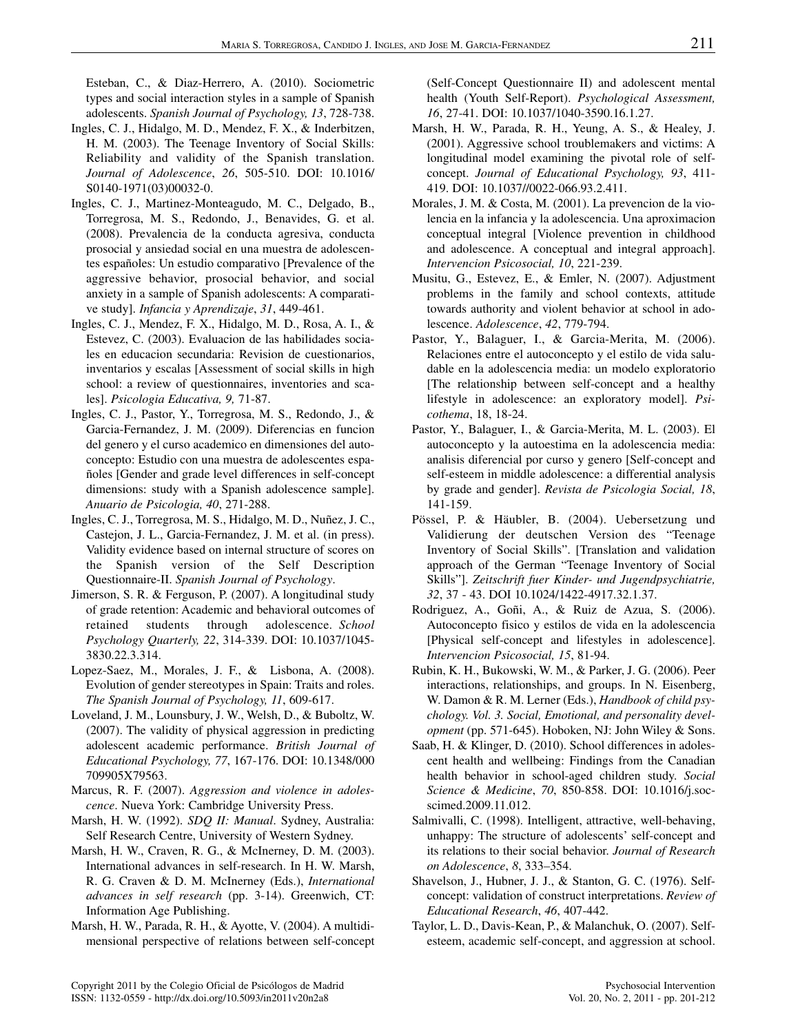Esteban, C., & Diaz-Herrero, A. (2010). Sociometric types and social interaction styles in a sample of Spanish adolescents. *Spanish Journal of Psychology, 13*, 728-738.

- Ingles, C. J., Hidalgo, M. D., Mendez, F. X., & Inderbitzen, H. M. (2003). The Teenage Inventory of Social Skills: Reliability and validity of the Spanish translation. *Journal of Adolescence*, *26*, 505-510. DOI: 10.1016/ S0140-1971(03)00032-0.
- Ingles, C. J., Martinez-Monteagudo, M. C., Delgado, B., Torregrosa, M. S., Redondo, J., Benavides, G. et al. (2008). Prevalencia de la conducta agresiva, conducta prosocial y ansiedad social en una muestra de adolescentes españoles: Un estudio comparativo [Prevalence of the aggressive behavior, prosocial behavior, and social anxiety in a sample of Spanish adolescents: A comparative study]. *Infancia y Aprendizaje*, *31*, 449-461.
- Ingles, C. J., Mendez, F. X., Hidalgo, M. D., Rosa, A. I., & Estevez, C. (2003). Evaluacion de las habilidades sociales en educacion secundaria: Revision de cuestionarios, inventarios y escalas [Assessment of social skills in high school: a review of questionnaires, inventories and scales]. *Psicologia Educativa, 9,* 71-87.
- Ingles, C. J., Pastor, Y., Torregrosa, M. S., Redondo, J., & Garcia-Fernandez, J. M. (2009). Diferencias en funcion del genero y el curso academico en dimensiones del autoconcepto: Estudio con una muestra de adolescentes españoles [Gender and grade level differences in self-concept dimensions: study with a Spanish adolescence sample]. *Anuario de Psicologia, 40*, 271-288.
- Ingles, C. J., Torregrosa, M. S., Hidalgo, M. D., Nuñez, J. C., Castejon, J. L., Garcia-Fernandez, J. M. et al. (in press). Validity evidence based on internal structure of scores on the Spanish version of the Self Description Questionnaire-II. *Spanish Journal of Psychology*.
- Jimerson, S. R. & Ferguson, P. (2007). A longitudinal study of grade retention: Academic and behavioral outcomes of retained students through adolescence. *School Psychology Quarterly, 22*, 314-339. DOI: 10.1037/1045- 3830.22.3.314.
- Lopez-Saez, M., Morales, J. F., & Lisbona, A. (2008). Evolution of gender stereotypes in Spain: Traits and roles. *The Spanish Journal of Psychology, 11*, 609-617.
- Loveland, J. M., Lounsbury, J. W., Welsh, D., & Buboltz, W. (2007). The validity of physical aggression in predicting adolescent academic performance. *British Journal of Educational Psychology, 77*, 167-176. DOI: 10.1348/000 709905X79563.
- Marcus, R. F. (2007). *Aggression and violence in adolescence*. Nueva York: Cambridge University Press.
- Marsh, H. W. (1992). *SDQ II: Manual*. Sydney, Australia: Self Research Centre, University of Western Sydney.
- Marsh, H. W., Craven, R. G., & McInerney, D. M. (2003). International advances in self-research. In H. W. Marsh, R. G. Craven & D. M. McInerney (Eds.), *International advances in self research* (pp. 3-14). Greenwich, CT: Information Age Publishing.
- Marsh, H. W., Parada, R. H., & Ayotte, V. (2004). A multidimensional perspective of relations between self-concept
- Marsh, H. W., Parada, R. H., Yeung, A. S., & Healey, J. (2001). Aggressive school troublemakers and victims: A longitudinal model examining the pivotal role of selfconcept. *Journal of Educational Psychology, 93*, 411- 419. DOI: 10.1037//0022-066.93.2.411.
- Morales, J. M. & Costa, M. (2001). La prevencion de la violencia en la infancia y la adolescencia. Una aproximacion conceptual integral [Violence prevention in childhood and adolescence. A conceptual and integral approach]. *Intervencion Psicosocial, 10*, 221-239.
- Musitu, G., Estevez, E., & Emler, N. (2007). Adjustment problems in the family and school contexts, attitude towards authority and violent behavior at school in adolescence. *Adolescence*, *42*, 779-794.
- Pastor, Y., Balaguer, I., & Garcia-Merita, M. (2006). Relaciones entre el autoconcepto y el estilo de vida saludable en la adolescencia media: un modelo exploratorio [The relationship between self-concept and a healthy lifestyle in adolescence: an exploratory model]. *Psicothema*, 18, 18-24.
- Pastor, Y., Balaguer, I., & Garcia-Merita, M. L. (2003). El autoconcepto y la autoestima en la adolescencia media: analisis diferencial por curso y genero [Self-concept and self-esteem in middle adolescence: a differential analysis by grade and gender]. *Revista de Psicologia Social, 18*, 141-159.
- Pössel, P. & Häubler, B. (2004). Uebersetzung und Validierung der deutschen Version des "Teenage Inventory of Social Skills". [Translation and validation approach of the German "Teenage Inventory of Social Skills"]. *Zeitschrift fuer Kinder- und Jugendpsychiatrie, 32*, 37 - 43. DOI 10.1024/1422-4917.32.1.37.
- Rodriguez, A., Goñi, A., & Ruiz de Azua, S. (2006). Autoconcepto fisico y estilos de vida en la adolescencia [Physical self-concept and lifestyles in adolescence]. *Intervencion Psicosocial, 15*, 81-94.
- Rubin, K. H., Bukowski, W. M., & Parker, J. G. (2006). Peer interactions, relationships, and groups. In N. Eisenberg, W. Damon & R. M. Lerner (Eds.), *Handbook of child psychology. Vol. 3. Social, Emotional, and personality development* (pp. 571-645). Hoboken, NJ: John Wiley & Sons.
- Saab, H. & Klinger, D. (2010). School differences in adolescent health and wellbeing: Findings from the Canadian health behavior in school-aged children study. *Social Science & Medicine*, *70*, 850-858. DOI: 10.1016/j.socscimed.2009.11.012.
- Salmivalli, C. (1998). Intelligent, attractive, well-behaving, unhappy: The structure of adolescents' self-concept and its relations to their social behavior. *Journal of Research on Adolescence*, *8*, 333–354.
- Shavelson, J., Hubner, J. J., & Stanton, G. C. (1976). Selfconcept: validation of construct interpretations. *Review of Educational Research*, *46*, 407-442.
- Taylor, L. D., Davis-Kean, P., & Malanchuk, O. (2007). Selfesteem, academic self-concept, and aggression at school.